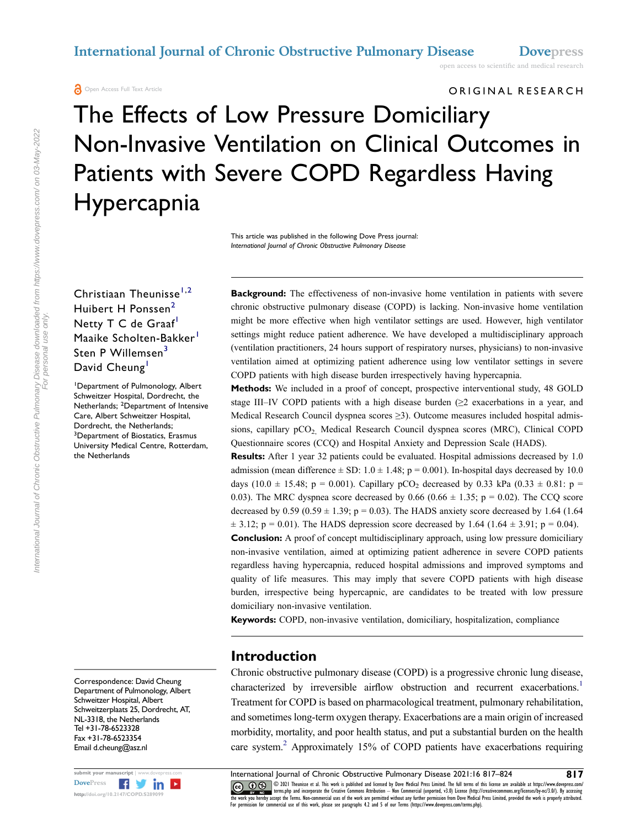**A** Open Access Full Text Article

#### ORIGINAL RESEARCH

# The Effects of Low Pressure Domiciliary Non-Invasive Ventilation on Clinical Outcomes in Patients with Severe COPD Regardless Having Hypercapnia

This article was published in the following Dove Press journal: *International Journal of Chronic Obstructive Pulmonary Disease*

Christiaan Theunisse<sup>[1](#page-0-0),2</sup> Huibert H Ponssen<sup>[2](#page-0-1)</sup> Netty T C de Graaf<sup>1</sup> Maaike Scholten-Bakker<sup>1</sup> Sten P Willemsen<sup>[3](#page-0-2)</sup> David Cheung<sup>[1](#page-0-0)</sup>

<span id="page-0-2"></span><span id="page-0-1"></span><span id="page-0-0"></span>1 Department of Pulmonology, Albert Schweitzer Hospital, Dordrecht, the Netherlands; <sup>2</sup>Department of Intensive Care, Albert Schweitzer Hospital, Dordrecht, the Netherlands; <sup>3</sup>Department of Biostatics, Erasmus University Medical Centre, Rotterdam, the Netherlands

Correspondence: David Cheung Department of Pulmonology, Albert Schweitzer Hospital, Albert Schweitzerplaats 25, Dordrecht, AT, NL-3318, the Netherlands Tel +31-78-6523328 Fax +31-78-6523354 Email [d.cheung@asz.nl](mailto:d.cheung@asz.nl)



**Background:** The effectiveness of non-invasive home ventilation in patients with severe chronic obstructive pulmonary disease (COPD) is lacking. Non-invasive home ventilation might be more effective when high ventilator settings are used. However, high ventilator settings might reduce patient adherence. We have developed a multidisciplinary approach (ventilation practitioners, 24 hours support of respiratory nurses, physicians) to non-invasive ventilation aimed at optimizing patient adherence using low ventilator settings in severe COPD patients with high disease burden irrespectively having hypercapnia.

**Methods:** We included in a proof of concept, prospective interventional study, 48 GOLD stage III–IV COPD patients with a high disease burden ( $\geq 2$  exacerbations in a year, and Medical Research Council dyspnea scores ≥3). Outcome measures included hospital admissions, capillary pCO<sub>2</sub> Medical Research Council dyspnea scores (MRC), Clinical COPD Questionnaire scores (CCQ) and Hospital Anxiety and Depression Scale (HADS).

**Results:** After 1 year 32 patients could be evaluated. Hospital admissions decreased by 1.0 admission (mean difference  $\pm$  SD: 1.0  $\pm$  1.48; p = 0.001). In-hospital days decreased by 10.0 days (10.0 ± 15.48; p = 0.001). Capillary pCO<sub>2</sub> decreased by 0.33 kPa (0.33 ± 0.81: p = 0.03). The MRC dyspnea score decreased by  $0.66$  ( $0.66 \pm 1.35$ ; p = 0.02). The CCQ score decreased by  $0.59 (0.59 \pm 1.39; p = 0.03)$ . The HADS anxiety score decreased by 1.64 (1.64)  $\pm$  3.12; p = 0.01). The HADS depression score decreased by 1.64 (1.64  $\pm$  3.91; p = 0.04).

**Conclusion:** A proof of concept multidisciplinary approach, using low pressure domiciliary non-invasive ventilation, aimed at optimizing patient adherence in severe COPD patients regardless having hypercapnia, reduced hospital admissions and improved symptoms and quality of life measures. This may imply that severe COPD patients with high disease burden, irrespective being hypercapnic, are candidates to be treated with low pressure domiciliary non-invasive ventilation.

**Keywords:** COPD, non-invasive ventilation, domiciliary, hospitalization, compliance

# **Introduction**

<span id="page-0-4"></span><span id="page-0-3"></span>Chronic obstructive pulmonary disease (COPD) is a progressive chronic lung disease, characterized by irreversible airflow obstruction and recurrent exacerbations.<sup>1</sup> Treatment for COPD is based on pharmacological treatment, pulmonary rehabilitation, and sometimes long-term oxygen therapy. Exacerbations are a main origin of increased morbidity, mortality, and poor health status, and put a substantial burden on the health care system.<sup>2</sup> Approximately 15% of COPD patients have exacerbations requiring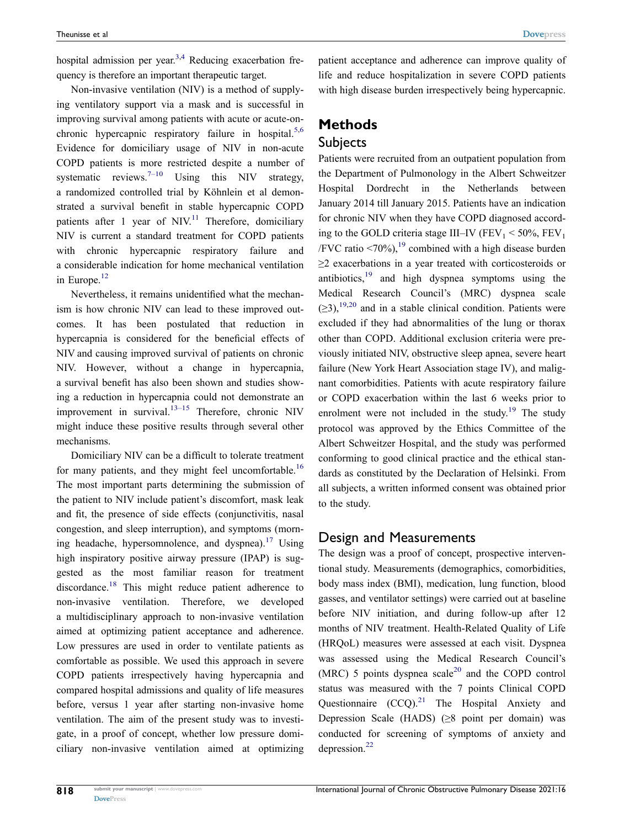<span id="page-1-0"></span>hospital admission per year.<sup>[3,](#page-6-2)4</sup> Reducing exacerbation frequency is therefore an important therapeutic target.

<span id="page-1-2"></span><span id="page-1-1"></span>Non-invasive ventilation (NIV) is a method of supplying ventilatory support via a mask and is successful in improving survival among patients with acute or acute-onchronic hypercapnic respiratory failure in hospital.<sup>5,6</sup> Evidence for domiciliary usage of NIV in non-acute COPD patients is more restricted despite a number of systematic reviews.<sup>7–10</sup> Using this NIV strategy, a randomized controlled trial by Köhnlein et al demonstrated a survival benefit in stable hypercapnic COPD patients after 1 year of NIV.<sup>11</sup> Therefore, domiciliary NIV is current a standard treatment for COPD patients with chronic hypercapnic respiratory failure and a considerable indication for home mechanical ventilation in Europe.<sup>12</sup>

<span id="page-1-4"></span><span id="page-1-3"></span>Nevertheless, it remains unidentified what the mechanism is how chronic NIV can lead to these improved outcomes. It has been postulated that reduction in hypercapnia is considered for the beneficial effects of NIV and causing improved survival of patients on chronic NIV. However, without a change in hypercapnia, a survival benefit has also been shown and studies showing a reduction in hypercapnia could not demonstrate an improvement in survival.<sup>13–15</sup> Therefore, chronic NIV might induce these positive results through several other mechanisms.

<span id="page-1-8"></span><span id="page-1-7"></span><span id="page-1-6"></span><span id="page-1-5"></span>Domiciliary NIV can be a difficult to tolerate treatment for many patients, and they might feel uncomfortable.<sup>16</sup> The most important parts determining the submission of the patient to NIV include patient's discomfort, mask leak and fit, the presence of side effects (conjunctivitis, nasal congestion, and sleep interruption), and symptoms (morn-ing headache, hypersomnolence, and dyspnea).<sup>[17](#page-7-1)</sup> Using high inspiratory positive airway pressure (IPAP) is suggested as the most familiar reason for treatment discordance.<sup>18</sup> This might reduce patient adherence to non-invasive ventilation. Therefore, we developed a multidisciplinary approach to non-invasive ventilation aimed at optimizing patient acceptance and adherence. Low pressures are used in order to ventilate patients as comfortable as possible. We used this approach in severe COPD patients irrespectively having hypercapnia and compared hospital admissions and quality of life measures before, versus 1 year after starting non-invasive home ventilation. The aim of the present study was to investigate, in a proof of concept, whether low pressure domiciliary non-invasive ventilation aimed at optimizing patient acceptance and adherence can improve quality of life and reduce hospitalization in severe COPD patients with high disease burden irrespectively being hypercapnic.

# **Methods**

### Subjects

Patients were recruited from an outpatient population from the Department of Pulmonology in the Albert Schweitzer Hospital Dordrecht in the Netherlands between January 2014 till January 2015. Patients have an indication for chronic NIV when they have COPD diagnosed according to the GOLD criteria stage III–IV ( $FEV_1 < 50\%$ ,  $FEV_1$ ) /FVC ratio  $\leq 70\%$ ), <sup>[19](#page-7-3)</sup> combined with a high disease burden ≥2 exacerbations in a year treated with corticosteroids or antibiotics, $19$  and high dyspnea symptoms using the Medical Research Council's (MRC) dyspnea scale  $(\geq 3)$ ,<sup>19,[20](#page-7-4)</sup> and in a stable clinical condition. Patients were excluded if they had abnormalities of the lung or thorax other than COPD. Additional exclusion criteria were previously initiated NIV, obstructive sleep apnea, severe heart failure (New York Heart Association stage IV), and malignant comorbidities. Patients with acute respiratory failure or COPD exacerbation within the last 6 weeks prior to enrolment were not included in the study.<sup>19</sup> The study protocol was approved by the Ethics Committee of the Albert Schweitzer Hospital, and the study was performed conforming to good clinical practice and the ethical standards as constituted by the Declaration of Helsinki. From all subjects, a written informed consent was obtained prior to the study.

#### <span id="page-1-9"></span>Design and Measurements

<span id="page-1-12"></span><span id="page-1-11"></span><span id="page-1-10"></span>The design was a proof of concept, prospective interventional study. Measurements (demographics, comorbidities, body mass index (BMI), medication, lung function, blood gasses, and ventilator settings) were carried out at baseline before NIV initiation, and during follow-up after 12 months of NIV treatment. Health-Related Quality of Life (HRQoL) measures were assessed at each visit. Dyspnea was assessed using the Medical Research Council's (MRC) 5 points dyspnea scale<sup>20</sup> and the COPD control status was measured with the 7 points Clinical COPD Questionnaire  $(CCQ)^{21}$  The Hospital Anxiety and Depression Scale (HADS) (≥8 point per domain) was conducted for screening of symptoms of anxiety and depression.[22](#page-7-6)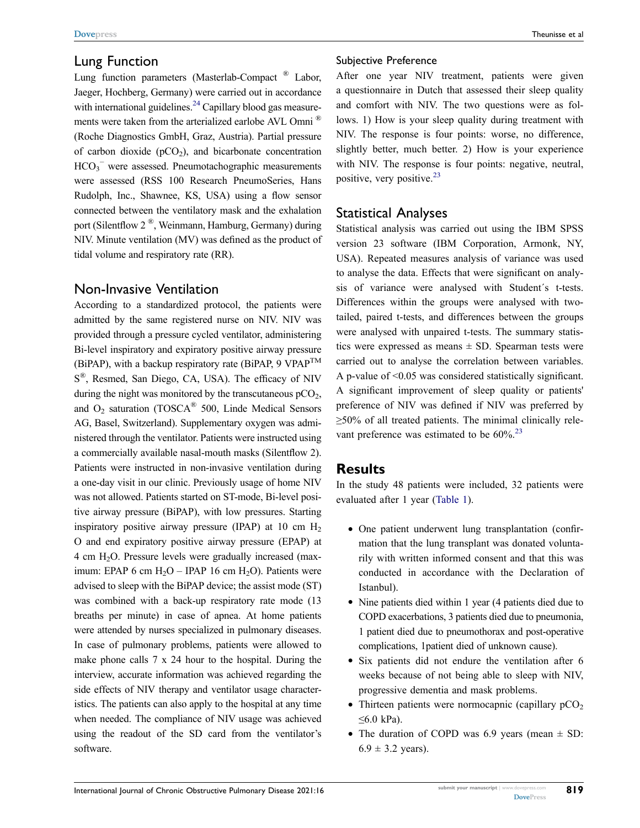### Lung Function

<span id="page-2-1"></span>Lung function parameters (Masterlab-Compact ® Labor, Jaeger, Hochberg, Germany) were carried out in accordance with international guidelines.<sup>24</sup> Capillary blood gas measurements were taken from the arterialized earlobe AVL Omni ® (Roche Diagnostics GmbH, Graz, Austria). Partial pressure of carbon dioxide ( $pCO<sub>2</sub>$ ), and bicarbonate concentration  $HCO_3^-$  were assessed. Pneumotachographic measurements were assessed (RSS 100 Research PneumoSeries, Hans Rudolph, Inc., Shawnee, KS, USA) using a flow sensor connected between the ventilatory mask and the exhalation port (Silentflow 2 ®, Weinmann, Hamburg, Germany) during NIV. Minute ventilation (MV) was defined as the product of tidal volume and respiratory rate (RR).

# Non-Invasive Ventilation

According to a standardized protocol, the patients were admitted by the same registered nurse on NIV. NIV was provided through a pressure cycled ventilator, administering Bi-level inspiratory and expiratory positive airway pressure (BiPAP), with a backup respiratory rate (BiPAP,  $9 \text{ VPAP}^{\text{TM}}$ S<sup>®</sup>, Resmed, San Diego, CA, USA). The efficacy of NIV during the night was monitored by the transcutaneous  $pCO<sub>2</sub>$ , and  $O_2$  saturation (TOSCA<sup>®</sup> 500, Linde Medical Sensors AG, Basel, Switzerland). Supplementary oxygen was administered through the ventilator. Patients were instructed using a commercially available nasal-mouth masks (Silentflow 2). Patients were instructed in non-invasive ventilation during a one-day visit in our clinic. Previously usage of home NIV was not allowed. Patients started on ST-mode, Bi-level positive airway pressure (BiPAP), with low pressures. Starting inspiratory positive airway pressure (IPAP) at 10 cm  $H<sub>2</sub>$ O and end expiratory positive airway pressure (EPAP) at 4 cm H2O. Pressure levels were gradually increased (maximum: EPAP 6 cm  $H_2O$  – IPAP 16 cm  $H_2O$ ). Patients were advised to sleep with the BiPAP device; the assist mode (ST) was combined with a back-up respiratory rate mode (13 breaths per minute) in case of apnea. At home patients were attended by nurses specialized in pulmonary diseases. In case of pulmonary problems, patients were allowed to make phone calls 7 x 24 hour to the hospital. During the interview, accurate information was achieved regarding the side effects of NIV therapy and ventilator usage characteristics. The patients can also apply to the hospital at any time when needed. The compliance of NIV usage was achieved using the readout of the SD card from the ventilator's software.

#### Subjective Preference

After one year NIV treatment, patients were given a questionnaire in Dutch that assessed their sleep quality and comfort with NIV. The two questions were as follows. 1) How is your sleep quality during treatment with NIV. The response is four points: worse, no difference, slightly better, much better. 2) How is your experience with NIV. The response is four points: negative, neutral, positive, very positive.<sup>[23](#page-7-8)</sup>

# Statistical Analyses

Statistical analysis was carried out using the IBM SPSS version 23 software (IBM Corporation, Armonk, NY, USA). Repeated measures analysis of variance was used to analyse the data. Effects that were significant on analysis of variance were analysed with Student´s t-tests. Differences within the groups were analysed with twotailed, paired t-tests, and differences between the groups were analysed with unpaired t-tests. The summary statistics were expressed as means  $\pm$  SD. Spearman tests were carried out to analyse the correlation between variables. A p-value of <0.05 was considered statistically significant. A significant improvement of sleep quality or patients' preference of NIV was defined if NIV was preferred by ≥50% of all treated patients. The minimal clinically relevant preference was estimated to be  $60\%$ <sup>[23](#page-7-8)</sup>

# <span id="page-2-0"></span>**Results**

In the study 48 patients were included, 32 patients were evaluated after 1 year [\(Table 1\)](#page-3-0).

- One patient underwent lung transplantation (confirmation that the lung transplant was donated voluntarily with written informed consent and that this was conducted in accordance with the Declaration of Istanbul).
- Nine patients died within 1 year (4 patients died due to COPD exacerbations, 3 patients died due to pneumonia, 1 patient died due to pneumothorax and post-operative complications, 1patient died of unknown cause).
- Six patients did not endure the ventilation after 6 weeks because of not being able to sleep with NIV, progressive dementia and mask problems.
- Thirteen patients were normocapnic (capillary  $pCO<sub>2</sub>$  $≤6.0$  kPa).
- The duration of COPD was 6.9 years (mean  $\pm$  SD:  $6.9 \pm 3.2$  years).

**819**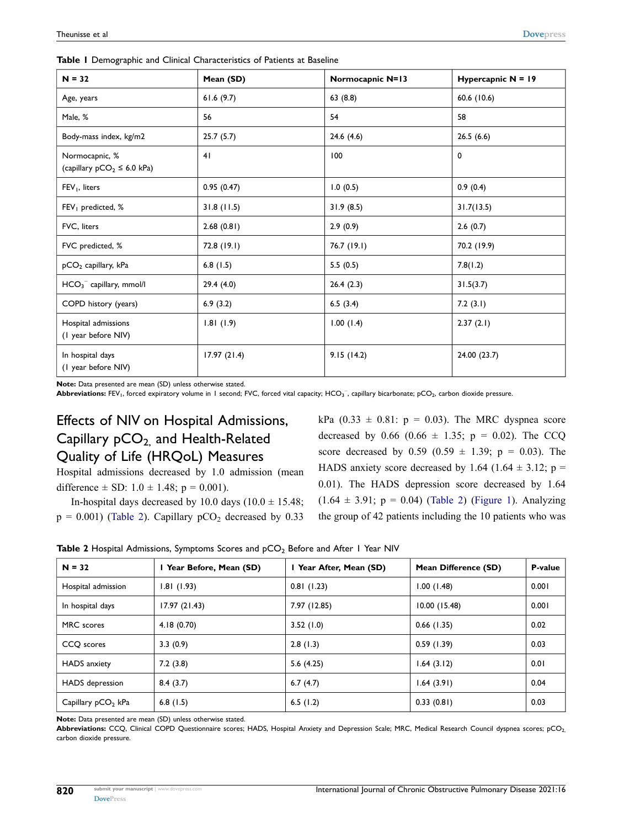| $N = 32$                                         | Mean (SD)   | Normocapnic N=13 | Hypercapnic $N = 19$ |  |
|--------------------------------------------------|-------------|------------------|----------------------|--|
| Age, years                                       | 61.6(9.7)   | 63(8.8)          | 60.6 (10.6)          |  |
| Male, %                                          | 56          | 54               | 58                   |  |
| Body-mass index, kg/m2                           | 25.7(5.7)   | 24.6(4.6)        | 26.5(6.6)            |  |
| Normocapnic, %<br>(capillary $pCO2 \le 6.0$ kPa) | 41          | 100              | 0                    |  |
| FEV <sub>1</sub> , liters                        | 0.95(0.47)  | 1.0(0.5)         | 0.9(0.4)             |  |
| $FEV1$ predicted, %                              | 31.8(11.5)  | 31.9(8.5)        | 31.7(13.5)           |  |
| FVC, liters                                      | 2.68(0.81)  | 2.9(0.9)         | 2.6(0.7)             |  |
| FVC predicted, %                                 | 72.8(19.1)  | 76.7 (19.1)      | 70.2 (19.9)          |  |
| $pCO2$ capillary, kPa                            | 6.8(1.5)    | 5.5(0.5)         | 7.8(1.2)             |  |
| $HCO3-$ capillary, mmol/l                        | 29.4(4.0)   | 26.4(2.3)        | 31.5(3.7)            |  |
| COPD history (years)                             | 6.9(3.2)    | 6.5(3.4)         | 7.2(3.1)             |  |
| Hospital admissions<br>(I year before NIV)       | 1.81(1.9)   | 1.00(1.4)        | 2.37(2.1)            |  |
| In hospital days<br>(I year before NIV)          | 17.97(21.4) | 9.15(14.2)       | 24.00 (23.7)         |  |

<span id="page-3-0"></span>**Table 1** Demographic and Clinical Characteristics of Patients at Baseline

**Note:** Data presented are mean (SD) unless otherwise stated.

difference  $\pm$  SD: 1.0  $\pm$  1.48; p = 0.001).

Abbreviations: FEV<sub>1</sub>, forced expiratory volume in 1 second; FVC, forced vital capacity; HCO<sub>3</sub><sup>-</sup>, capillary bicarbonate; pCO<sub>2</sub>, carbon dioxide pressure.

# Effects of NIV on Hospital Admissions, Capillary pCO<sub>2</sub> and Health-Related Quality of Life (HRQoL) Measures

Hospital admissions decreased by 1.0 admission (mean

In-hospital days decreased by 10.0 days  $(10.0 \pm 15.48)$ ;

kPa  $(0.33 \pm 0.81; p = 0.03)$ . The MRC dyspnea score decreased by 0.66 (0.66  $\pm$  1.35; p = 0.02). The CCQ score decreased by 0.59 (0.59  $\pm$  1.39; p = 0.03). The HADS anxiety score decreased by 1.64 (1.64  $\pm$  3.12; p = 0.01). The HADS depression score decreased by 1.64  $(1.64 \pm 3.91; p = 0.04)$  ([Table 2](#page-3-1)) [\(Figure 1\)](#page-4-0). Analyzing the group of 42 patients including the 10 patients who was

| $p = 0.001$ ) (Table 2). Capillary $pCO2$ decreased by 0.33 the gro |  |  |  |
|---------------------------------------------------------------------|--|--|--|
|                                                                     |  |  |  |

<span id="page-3-1"></span>

| <b>Table 2</b> Hospital Admissions, Symptoms Scores and pCO <sub>2</sub> Before and After 1 Year NIV |  |  |  |
|------------------------------------------------------------------------------------------------------|--|--|--|
|------------------------------------------------------------------------------------------------------|--|--|--|

| $N = 32$             | I Year Before, Mean (SD) | I Year After, Mean (SD) | Mean Difference (SD) | P-value |
|----------------------|--------------------------|-------------------------|----------------------|---------|
| Hospital admission   | 1.81(1.93)               | 0.81(1.23)              | 1.00(1.48)           | 0.001   |
| In hospital days     | 17.97(21.43)             | 7.97 (12.85)            | 10.00(15.48)         | 0.001   |
| MRC scores           | 4.18(0.70)               | 3.52(1.0)               | $0.66$ (1.35)        | 0.02    |
| CCQ scores           | 3.3(0.9)                 | 2.8(1.3)                | 0.59(1.39)           | 0.03    |
| <b>HADS</b> anxiety  | 7.2(3.8)                 | 5.6(4.25)               | 1.64(3.12)           | 0.01    |
| HADS depression      | 8.4(3.7)                 | 6.7(4.7)                | 1.64(3.91)           | 0.04    |
| Capillary $pCO2$ kPa | 6.8(1.5)                 | 6.5 $(1.2)$             | 0.33(0.81)           | 0.03    |

**Note:** Data presented are mean (SD) unless otherwise stated.

Abbreviations: CCQ, Clinical COPD Questionnaire scores; HADS, Hospital Anxiety and Depression Scale; MRC, Medical Research Council dyspnea scores; pCO<sub>2</sub> carbon dioxide pressure.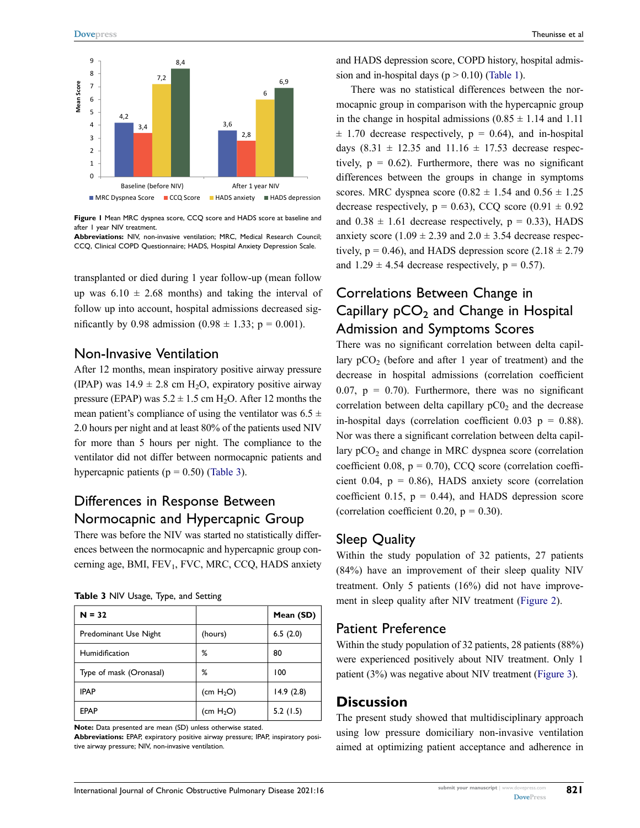<span id="page-4-0"></span>

**Figure 1** Mean MRC dyspnea score, CCQ score and HADS score at baseline and after 1 year NIV treatment.

#### Non-Invasive Ventilation

# <span id="page-4-1"></span>Differences in Response Between Normocapnic and Hypercapnic Group

| э                                                                                                                                                                                                                                                                                                                                                                                                                                                                                                                                                                                                                                                                                                                                                                                                                                                                               | 4,2 |     |                       |  |         |                       |                  |  |           |           |
|---------------------------------------------------------------------------------------------------------------------------------------------------------------------------------------------------------------------------------------------------------------------------------------------------------------------------------------------------------------------------------------------------------------------------------------------------------------------------------------------------------------------------------------------------------------------------------------------------------------------------------------------------------------------------------------------------------------------------------------------------------------------------------------------------------------------------------------------------------------------------------|-----|-----|-----------------------|--|---------|-----------------------|------------------|--|-----------|-----------|
| 4 -                                                                                                                                                                                                                                                                                                                                                                                                                                                                                                                                                                                                                                                                                                                                                                                                                                                                             |     | 3,4 |                       |  |         | 3,6                   | 2,8              |  |           |           |
| 3                                                                                                                                                                                                                                                                                                                                                                                                                                                                                                                                                                                                                                                                                                                                                                                                                                                                               |     |     |                       |  |         |                       |                  |  |           |           |
| $\overline{2}$<br>1                                                                                                                                                                                                                                                                                                                                                                                                                                                                                                                                                                                                                                                                                                                                                                                                                                                             |     |     |                       |  |         |                       |                  |  |           |           |
| 0                                                                                                                                                                                                                                                                                                                                                                                                                                                                                                                                                                                                                                                                                                                                                                                                                                                                               |     |     |                       |  |         |                       |                  |  |           |           |
|                                                                                                                                                                                                                                                                                                                                                                                                                                                                                                                                                                                                                                                                                                                                                                                                                                                                                 |     |     | Baseline (before NIV) |  |         |                       | After 1 year NIV |  |           |           |
| ■ CCQ Score ■ HADS anxiety ■ HADS depression<br><b>MRC Dyspnea Score</b>                                                                                                                                                                                                                                                                                                                                                                                                                                                                                                                                                                                                                                                                                                                                                                                                        |     |     |                       |  |         |                       |                  |  |           |           |
| Figure I Mean MRC dyspnea score, CCQ score and HADS score at baseline and<br>after I year NIV treatment.<br>Abbreviations: NIV, non-invasive ventilation; MRC, Medical Research Counci<br>CCQ, Clinical COPD Questionnaire; HADS, Hospital Anxiety Depression Scale.                                                                                                                                                                                                                                                                                                                                                                                                                                                                                                                                                                                                            |     |     |                       |  |         |                       |                  |  |           |           |
| transplanted or died during 1 year follow-up (mean follow                                                                                                                                                                                                                                                                                                                                                                                                                                                                                                                                                                                                                                                                                                                                                                                                                       |     |     |                       |  |         |                       |                  |  |           |           |
| up was $6.10 \pm 2.68$ months) and taking the interval o                                                                                                                                                                                                                                                                                                                                                                                                                                                                                                                                                                                                                                                                                                                                                                                                                        |     |     |                       |  |         |                       |                  |  |           |           |
| follow up into account, hospital admissions decreased sig-                                                                                                                                                                                                                                                                                                                                                                                                                                                                                                                                                                                                                                                                                                                                                                                                                      |     |     |                       |  |         |                       |                  |  |           |           |
| nificantly by 0.98 admission (0.98 $\pm$ 1.33; p = 0.001).                                                                                                                                                                                                                                                                                                                                                                                                                                                                                                                                                                                                                                                                                                                                                                                                                      |     |     |                       |  |         |                       |                  |  |           |           |
| Non-Invasive Ventilation<br>After 12 months, mean inspiratory positive airway pressure<br>(IPAP) was $14.9 \pm 2.8$ cm H <sub>2</sub> O, expiratory positive airway<br>pressure (EPAP) was $5.2 \pm 1.5$ cm H <sub>2</sub> O. After 12 months the<br>mean patient's compliance of using the ventilator was $6.5 \pm$<br>2.0 hours per night and at least 80% of the patients used NIV<br>for more than 5 hours per night. The compliance to the<br>ventilator did not differ between normocapnic patients and<br>hypercapnic patients ( $p = 0.50$ ) (Table 3).<br>Differences in Response Between<br>Normocapnic and Hypercapnic Group<br>There was before the NIV was started no statistically differ<br>ences between the normocapnic and hypercapnic group con-<br>cerning age, BMI, FEV <sub>1</sub> , FVC, MRC, CCQ, HADS anxiety<br>Table 3 NIV Usage, Type, and Setting |     |     |                       |  |         |                       |                  |  |           |           |
| $N = 32$                                                                                                                                                                                                                                                                                                                                                                                                                                                                                                                                                                                                                                                                                                                                                                                                                                                                        |     |     |                       |  |         |                       |                  |  |           | Mean (SD) |
| Predominant Use Night                                                                                                                                                                                                                                                                                                                                                                                                                                                                                                                                                                                                                                                                                                                                                                                                                                                           |     |     |                       |  | (hours) |                       |                  |  | 6.5(2.0)  |           |
| Humidification                                                                                                                                                                                                                                                                                                                                                                                                                                                                                                                                                                                                                                                                                                                                                                                                                                                                  |     |     |                       |  | ℅       |                       |                  |  | 80        |           |
| Type of mask (Oronasal)                                                                                                                                                                                                                                                                                                                                                                                                                                                                                                                                                                                                                                                                                                                                                                                                                                                         |     |     |                       |  | ℅       |                       |                  |  | 100       |           |
| <b>IPAP</b>                                                                                                                                                                                                                                                                                                                                                                                                                                                                                                                                                                                                                                                                                                                                                                                                                                                                     |     |     |                       |  |         | (cm H <sub>2</sub> O) |                  |  | 14.9(2.8) |           |
| EPAP                                                                                                                                                                                                                                                                                                                                                                                                                                                                                                                                                                                                                                                                                                                                                                                                                                                                            |     |     |                       |  |         | (cm $H_2O$ )          |                  |  | 5.2(1.5)  |           |
| Note: Data presented are mean (SD) unless otherwise stated.<br>Abbreviations: EPAP, expiratory positive airway pressure; IPAP, inspiratory posi<br>tive airway pressure; NIV, non-invasive ventilation.                                                                                                                                                                                                                                                                                                                                                                                                                                                                                                                                                                                                                                                                         |     |     |                       |  |         |                       |                  |  |           |           |

and HADS depression score, COPD history, hospital admission and in-hospital days ( $p > 0.10$ ) ([Table 1](#page-3-0)).

There was no statistical differences between the normocapnic group in comparison with the hypercapnic group in the change in hospital admissions  $(0.85 \pm 1.14$  and 1.11  $\pm$  1.70 decrease respectively,  $p = 0.64$ ), and in-hospital days  $(8.31 \pm 12.35 \text{ and } 11.16 \pm 17.53 \text{ decrease respectively})$ tively,  $p = 0.62$ ). Furthermore, there was no significant differences between the groups in change in symptoms scores. MRC dyspnea score  $(0.82 \pm 1.54$  and  $0.56 \pm 1.25$ decrease respectively,  $p = 0.63$ ), CCQ score  $(0.91 \pm 0.92)$ and  $0.38 \pm 1.61$  decrease respectively,  $p = 0.33$ ), HADS anxiety score  $(1.09 \pm 2.39 \text{ and } 2.0 \pm 3.54 \text{ decrease respectively})$ tively,  $p = 0.46$ ), and HADS depression score  $(2.18 \pm 2.79)$ and  $1.29 \pm 4.54$  decrease respectively,  $p = 0.57$ ).

# Correlations Between Change in Capillary  $pCO<sub>2</sub>$  and Change in Hospital Admission and Symptoms Scores

There was no significant correlation between delta capillary  $pCO<sub>2</sub>$  (before and after 1 year of treatment) and the decrease in hospital admissions (correlation coefficient 0.07,  $p = 0.70$ ). Furthermore, there was no significant correlation between delta capillary  $pC0<sub>2</sub>$  and the decrease in-hospital days (correlation coefficient  $0.03$  p = 0.88). Nor was there a significant correlation between delta capillary  $pCO<sub>2</sub>$  and change in MRC dyspnea score (correlation coefficient 0.08,  $p = 0.70$ ), CCQ score (correlation coefficient 0.04,  $p = 0.86$ ), HADS anxiety score (correlation coefficient 0.15,  $p = 0.44$ ), and HADS depression score (correlation coefficient 0.20,  $p = 0.30$ ).

# Sleep Quality

Within the study population of 32 patients, 27 patients (84%) have an improvement of their sleep quality NIV treatment. Only 5 patients (16%) did not have improvement in sleep quality after NIV treatment [\(Figure 2](#page-5-0)).

# Patient Preference

Within the study population of 32 patients, 28 patients (88%) were experienced positively about NIV treatment. Only 1 patient (3%) was negative about NIV treatment [\(Figure 3](#page-5-1)).

# **Discussion**

The present study showed that multidisciplinary approach using low pressure domiciliary non-invasive ventilation aimed at optimizing patient acceptance and adherence in

**821**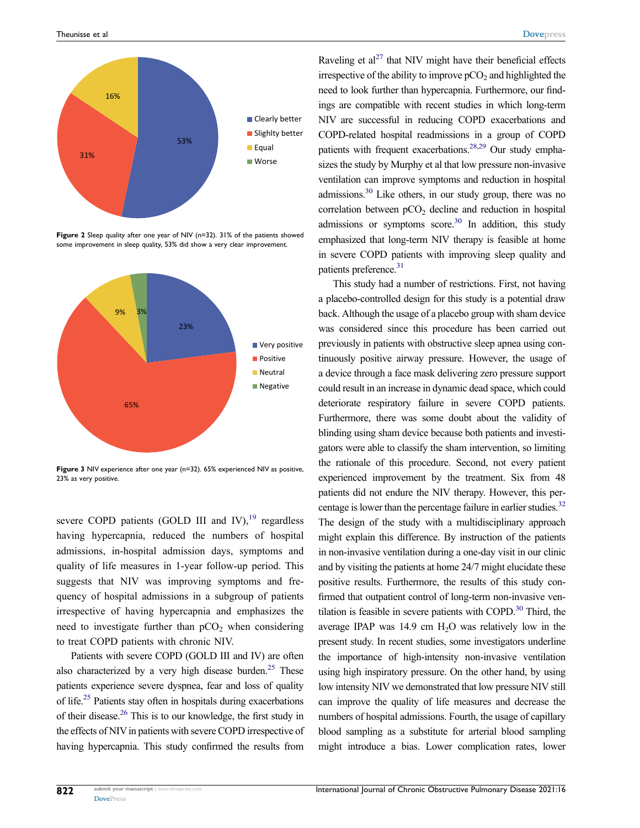<span id="page-5-0"></span>

**Figure 2** Sleep quality after one year of NIV (n=32). 31% of the patients showed some improvement in sleep quality, 53% did show a very clear improvement.

<span id="page-5-1"></span>

**Figure 3** NIV experience after one year (n=32). 65% experienced NIV as positive, 23% as very positive.

severe COPD patients (GOLD III and IV),<sup>[19](#page-7-3)</sup> regardless having hypercapnia, reduced the numbers of hospital admissions, in-hospital admission days, symptoms and quality of life measures in 1-year follow-up period. This suggests that NIV was improving symptoms and frequency of hospital admissions in a subgroup of patients irrespective of having hypercapnia and emphasizes the need to investigate further than  $pCO<sub>2</sub>$  when considering to treat COPD patients with chronic NIV.

<span id="page-5-6"></span><span id="page-5-3"></span><span id="page-5-2"></span>Patients with severe COPD (GOLD III and IV) are often also characterized by a very high disease burden.<sup>25</sup> These patients experience severe dyspnea, fear and loss of quality of life.[25](#page-7-9) Patients stay often in hospitals during exacerbations of their disease[.26](#page-7-10) This is to our knowledge, the first study in the effects of NIV in patients with severe COPD irrespective of having hypercapnia. This study confirmed the results from <span id="page-5-5"></span><span id="page-5-4"></span>Raveling et  $al^{27}$  that NIV might have their beneficial effects irrespective of the ability to improve  $pCO<sub>2</sub>$  and highlighted the need to look further than hypercapnia. Furthermore, our findings are compatible with recent studies in which long-term NIV are successful in reducing COPD exacerbations and COPD-related hospital readmissions in a group of COPD patients with frequent exacerbations.<sup>28[,29](#page-7-13)</sup> Our study emphasizes the study by Murphy et al that low pressure non-invasive ventilation can improve symptoms and reduction in hospital admissions[.30](#page-7-14) Like others, in our study group, there was no correlation between  $pCO<sub>2</sub>$  decline and reduction in hospital admissions or symptoms score.<sup>30</sup> In addition, this study emphasized that long-term NIV therapy is feasible at home in severe COPD patients with improving sleep quality and patients preference.<sup>31</sup>

<span id="page-5-8"></span><span id="page-5-7"></span>This study had a number of restrictions. First, not having a placebo-controlled design for this study is a potential draw back. Although the usage of a placebo group with sham device was considered since this procedure has been carried out previously in patients with obstructive sleep apnea using continuously positive airway pressure. However, the usage of a device through a face mask delivering zero pressure support could result in an increase in dynamic dead space, which could deteriorate respiratory failure in severe COPD patients. Furthermore, there was some doubt about the validity of blinding using sham device because both patients and investigators were able to classify the sham intervention, so limiting the rationale of this procedure. Second, not every patient experienced improvement by the treatment. Six from 48 patients did not endure the NIV therapy. However, this percentage is lower than the percentage failure in earlier studies.<sup>32</sup> The design of the study with a multidisciplinary approach might explain this difference. By instruction of the patients in non-invasive ventilation during a one-day visit in our clinic and by visiting the patients at home 24/7 might elucidate these positive results. Furthermore, the results of this study confirmed that outpatient control of long-term non-invasive ventilation is feasible in severe patients with COPD. $30$  Third, the average IPAP was 14.9 cm H2O was relatively low in the present study. In recent studies, some investigators underline the importance of high-intensity non-invasive ventilation using high inspiratory pressure. On the other hand, by using low intensity NIV we demonstrated that low pressure NIV still can improve the quality of life measures and decrease the numbers of hospital admissions. Fourth, the usage of capillary blood sampling as a substitute for arterial blood sampling might introduce a bias. Lower complication rates, lower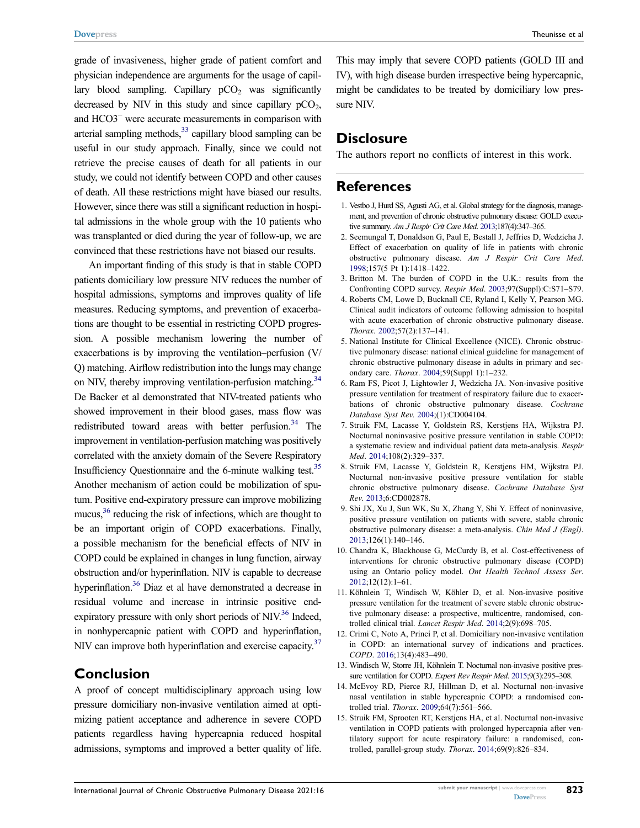<span id="page-6-10"></span>grade of invasiveness, higher grade of patient comfort and physician independence are arguments for the usage of capillary blood sampling. Capillary  $pCO<sub>2</sub>$  was significantly decreased by NIV in this study and since capillary  $pCO<sub>2</sub>$ , and HCO3− were accurate measurements in comparison with arterial sampling methods, $33$  capillary blood sampling can be useful in our study approach. Finally, since we could not retrieve the precise causes of death for all patients in our study, we could not identify between COPD and other causes of death. All these restrictions might have biased our results. However, since there was still a significant reduction in hospital admissions in the whole group with the 10 patients who was transplanted or died during the year of follow-up, we are convinced that these restrictions have not biased our results.

<span id="page-6-12"></span><span id="page-6-11"></span>An important finding of this study is that in stable COPD patients domiciliary low pressure NIV reduces the number of hospital admissions, symptoms and improves quality of life measures. Reducing symptoms, and prevention of exacerbations are thought to be essential in restricting COPD progression. A possible mechanism lowering the number of exacerbations is by improving the ventilation–perfusion (V/ Q) matching. Airflow redistribution into the lungs may change on NIV, thereby improving ventilation-perfusion matching.<sup>34</sup> De Backer et al demonstrated that NIV-treated patients who showed improvement in their blood gases, mass flow was redistributed toward areas with better perfusion.<sup>34</sup> The improvement in ventilation-perfusion matching was positively correlated with the anxiety domain of the Severe Respiratory Insufficiency Questionnaire and the 6-minute walking test.<sup>35</sup> Another mechanism of action could be mobilization of sputum. Positive end-expiratory pressure can improve mobilizing mucus,<sup>36</sup> reducing the risk of infections, which are thought to be an important origin of COPD exacerbations. Finally, a possible mechanism for the beneficial effects of NIV in COPD could be explained in changes in lung function, airway obstruction and/or hyperinflation. NIV is capable to decrease hyperinflation.<sup>36</sup> Diaz et al have demonstrated a decrease in residual volume and increase in intrinsic positive end-expiratory pressure with only short periods of NIV.<sup>[36](#page-7-20)</sup> Indeed, in nonhypercapnic patient with COPD and hyperinflation, NIV can improve both hyperinflation and exercise capacity.<sup>[37](#page-7-21)</sup>

#### <span id="page-6-14"></span><span id="page-6-13"></span>**Conclusion**

A proof of concept multidisciplinary approach using low pressure domiciliary non-invasive ventilation aimed at optimizing patient acceptance and adherence in severe COPD patients regardless having hypercapnia reduced hospital admissions, symptoms and improved a better quality of life. This may imply that severe COPD patients (GOLD III and IV), with high disease burden irrespective being hypercapnic, might be candidates to be treated by domiciliary low pressure NIV.

#### **Disclosure**

The authors report no conflicts of interest in this work.

#### **References**

- <span id="page-6-0"></span>1. Vestbo J, Hurd SS, Agusti AG, et al. Global strategy for the diagnosis, management, and prevention of chronic obstructive pulmonary disease: GOLD executive summary. *Am J Respir Crit Care Med*. [2013;](#page-0-3)187(4):347–365.
- <span id="page-6-1"></span>2. Seemungal T, Donaldson G, Paul E, Bestall J, Jeffries D, Wedzicha J. Effect of exacerbation on quality of life in patients with chronic obstructive pulmonary disease. *Am J Respir Crit Care Med*. [1998](#page-0-4);157(5 Pt 1):1418–1422.
- <span id="page-6-2"></span>3. Britton M. The burden of COPD in the U.K.: results from the Confronting COPD survey. *Respir Med*. [2003;](#page-1-0)97(Suppl):C:S71–S79.
- <span id="page-6-3"></span>4. Roberts CM, Lowe D, Bucknall CE, Ryland I, Kelly Y, Pearson MG. Clinical audit indicators of outcome following admission to hospital with acute exacerbation of chronic obstructive pulmonary disease. *Thorax*. [2002](#page-1-0);57(2):137–141.
- <span id="page-6-4"></span>5. National Institute for Clinical Excellence (NICE). Chronic obstructive pulmonary disease: national clinical guideline for management of chronic obstructive pulmonary disease in adults in primary and secondary care. *Thorax*. [2004;](#page-1-1)59(Suppl 1):1–232.
- <span id="page-6-5"></span>6. Ram FS, Picot J, Lightowler J, Wedzicha JA. Non-invasive positive pressure ventilation for treatment of respiratory failure due to exacerbations of chronic obstructive pulmonary disease. *Cochrane Database Syst Rev*. [2004](#page-1-1);(1):CD004104.
- <span id="page-6-6"></span>7. Struik FM, Lacasse Y, Goldstein RS, Kerstjens HA, Wijkstra PJ. Nocturnal noninvasive positive pressure ventilation in stable COPD: a systematic review and individual patient data meta-analysis. *Respir Med*. [2014](#page-1-2);108(2):329–337.
- 8. Struik FM, Lacasse Y, Goldstein R, Kerstjens HM, Wijkstra PJ. Nocturnal non-invasive positive pressure ventilation for stable chronic obstructive pulmonary disease. *Cochrane Database Syst Rev*. 2013;6:CD002878.
- 9. Shi JX, Xu J, Sun WK, Su X, Zhang Y, Shi Y. Effect of noninvasive, positive pressure ventilation on patients with severe, stable chronic obstructive pulmonary disease: a meta-analysis. *Chin Med J (Engl)*. 2013;126(1):140–146.
- 10. Chandra K, Blackhouse G, McCurdy B, et al. Cost-effectiveness of interventions for chronic obstructive pulmonary disease (COPD) using an Ontario policy model. *Ont Health Technol Assess Ser*. 2012;12(12):1–61.
- <span id="page-6-7"></span>11. Köhnlein T, Windisch W, Köhler D, et al. Non-invasive positive pressure ventilation for the treatment of severe stable chronic obstructive pulmonary disease: a prospective, multicentre, randomised, controlled clinical trial. *Lancet Respir Med*. [2014](#page-1-3);2(9):698–705.
- <span id="page-6-8"></span>12. Crimi C, Noto A, Princi P, et al. Domiciliary non-invasive ventilation in COPD: an international survey of indications and practices. *COPD*. [2016;](#page-1-4)13(4):483–490.
- <span id="page-6-9"></span>13. Windisch W, Storre JH, Köhnlein T. Nocturnal non-invasive positive pressure ventilation for COPD. *Expert Rev Respir Med*. [2015](#page-1-5);9(3):295–308.
- 14. McEvoy RD, Pierce RJ, Hillman D, et al. Nocturnal non-invasive nasal ventilation in stable hypercapnic COPD: a randomised controlled trial. *Thorax*. 2009;64(7):561–566.
- 15. Struik FM, Sprooten RT, Kerstjens HA, et al. Nocturnal non-invasive ventilation in COPD patients with prolonged hypercapnia after ventilatory support for acute respiratory failure: a randomised, controlled, parallel-group study. *Thorax*. 2014;69(9):826–834.